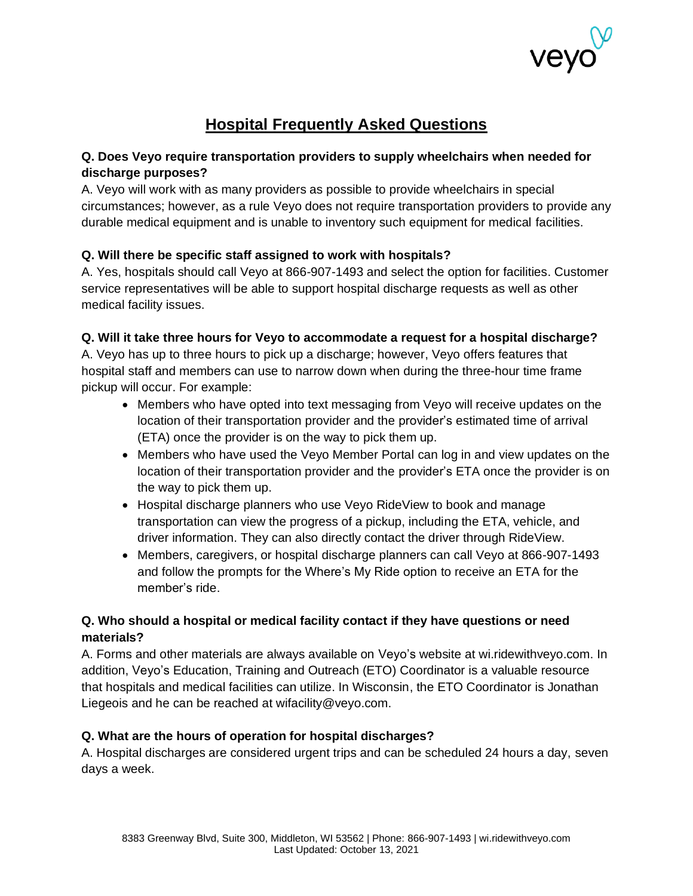

# **Hospital Frequently Asked Questions**

# **Q. Does Veyo require transportation providers to supply wheelchairs when needed for discharge purposes?**

A. Veyo will work with as many providers as possible to provide wheelchairs in special circumstances; however, as a rule Veyo does not require transportation providers to provide any durable medical equipment and is unable to inventory such equipment for medical facilities.

# **Q. Will there be specific staff assigned to work with hospitals?**

A. Yes, hospitals should call Veyo at 866-907-1493 and select the option for facilities. Customer service representatives will be able to support hospital discharge requests as well as other medical facility issues.

# **Q. Will it take three hours for Veyo to accommodate a request for a hospital discharge?**

A. Veyo has up to three hours to pick up a discharge; however, Veyo offers features that hospital staff and members can use to narrow down when during the three-hour time frame pickup will occur. For example:

- Members who have opted into text messaging from Veyo will receive updates on the location of their transportation provider and the provider's estimated time of arrival (ETA) once the provider is on the way to pick them up.
- Members who have used the Veyo Member Portal can log in and view updates on the location of their transportation provider and the provider's ETA once the provider is on the way to pick them up.
- Hospital discharge planners who use Veyo RideView to book and manage transportation can view the progress of a pickup, including the ETA, vehicle, and driver information. They can also directly contact the driver through RideView.
- Members, caregivers, or hospital discharge planners can call Veyo at 866-907-1493 and follow the prompts for the Where's My Ride option to receive an ETA for the member's ride.

# **Q. Who should a hospital or medical facility contact if they have questions or need materials?**

A. Forms and other materials are always available on Veyo's website at wi.ridewithveyo.com. In addition, Veyo's Education, Training and Outreach (ETO) Coordinator is a valuable resource that hospitals and medical facilities can utilize. In Wisconsin, the ETO Coordinator is Jonathan Liegeois and he can be reached at wifacility@veyo.com.

# **Q. What are the hours of operation for hospital discharges?**

A. Hospital discharges are considered urgent trips and can be scheduled 24 hours a day, seven days a week.